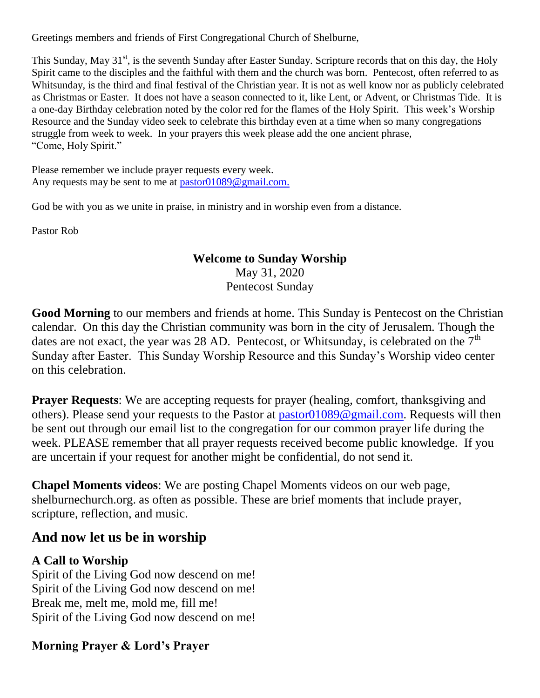Greetings members and friends of First Congregational Church of Shelburne,

This Sunday, May 31<sup>st</sup>, is the seventh Sunday after Easter Sunday. Scripture records that on this day, the Holy Spirit came to the disciples and the faithful with them and the church was born. Pentecost, often referred to as Whitsunday, is the third and final festival of the Christian year. It is not as well know nor as publicly celebrated as Christmas or Easter. It does not have a season connected to it, like Lent, or Advent, or Christmas Tide. It is a one-day Birthday celebration noted by the color red for the flames of the Holy Spirit. This week's Worship Resource and the Sunday video seek to celebrate this birthday even at a time when so many congregations struggle from week to week. In your prayers this week please add the one ancient phrase, "Come, Holy Spirit."

Please remember we include prayer requests every week. Any requests may be sent to me at [pastor01089@gmail.com.](mailto:pastor01089@gmail.com)

God be with you as we unite in praise, in ministry and in worship even from a distance.

Pastor Rob

#### **Welcome to Sunday Worship**

May 31, 2020 Pentecost Sunday

**Good Morning** to our members and friends at home. This Sunday is Pentecost on the Christian calendar. On this day the Christian community was born in the city of Jerusalem. Though the dates are not exact, the year was 28 AD. Pentecost, or Whitsunday, is celebrated on the  $7<sup>th</sup>$ Sunday after Easter. This Sunday Worship Resource and this Sunday's Worship video center on this celebration.

**Prayer Requests:** We are accepting requests for prayer (healing, comfort, thanksgiving and others). Please send your requests to the Pastor at [pastor01089@gmail.com.](mailto:pastor01089@gmail.com) Requests will then be sent out through our email list to the congregation for our common prayer life during the week. PLEASE remember that all prayer requests received become public knowledge. If you are uncertain if your request for another might be confidential, do not send it.

**Chapel Moments videos**: We are posting Chapel Moments videos on our web page, shelburnechurch.org. as often as possible. These are brief moments that include prayer, scripture, reflection, and music.

# **And now let us be in worship**

### **A Call to Worship**

Spirit of the Living God now descend on me! Spirit of the Living God now descend on me! Break me, melt me, mold me, fill me! Spirit of the Living God now descend on me!

### **Morning Prayer & Lord's Prayer**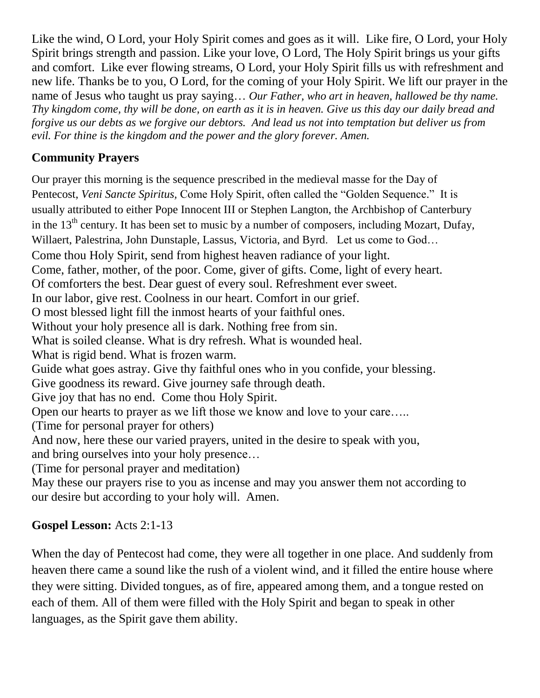Like the wind, O Lord, your Holy Spirit comes and goes as it will. Like fire, O Lord, your Holy Spirit brings strength and passion. Like your love, O Lord, The Holy Spirit brings us your gifts and comfort. Like ever flowing streams, O Lord, your Holy Spirit fills us with refreshment and new life. Thanks be to you, O Lord, for the coming of your Holy Spirit. We lift our prayer in the name of Jesus who taught us pray saying… *Our Father, who art in heaven, hallowed be thy name. Thy kingdom come, thy will be done, on earth as it is in heaven. Give us this day our daily bread and forgive us our debts as we forgive our debtors. And lead us not into temptation but deliver us from evil. For thine is the kingdom and the power and the glory forever. Amen.*

## **Community Prayers**

Our prayer this morning is the sequence prescribed in the medieval masse for the Day of Pentecost, *Veni Sancte Spiritus,* Come Holy Spirit, often called the "Golden Sequence." It is usually attributed to either Pope Innocent III or Stephen Langton, the Archbishop of Canterbury in the 13<sup>th</sup> century. It has been set to music by a number of composers, including Mozart, [Dufay,](https://en.wikipedia.org/wiki/Guillaume_Dufay) [Willaert,](https://en.wikipedia.org/wiki/Adrian_Willaert) [Palestrina,](https://en.wikipedia.org/wiki/Giovanni_Pierluigi_da_Palestrina) [John Dunstaple,](https://en.wikipedia.org/wiki/John_Dunstaple) [Lassus,](https://en.wikipedia.org/wiki/Lassus) [Victoria,](https://en.wikipedia.org/wiki/Tom%C3%A1s_Luis_de_Victoria) and [Byrd.](https://en.wikipedia.org/wiki/William_Byrd) Let us come to God… Come thou Holy Spirit, send from highest heaven radiance of your light. Come, father, mother, of the poor. Come, giver of gifts. Come, light of every heart. Of comforters the best. Dear guest of every soul. Refreshment ever sweet. In our labor, give rest. Coolness in our heart. Comfort in our grief. O most blessed light fill the inmost hearts of your faithful ones. Without your holy presence all is dark. Nothing free from sin. What is soiled cleanse. What is dry refresh. What is wounded heal. What is rigid bend. What is frozen warm. Guide what goes astray. Give thy faithful ones who in you confide, your blessing. Give goodness its reward. Give journey safe through death. Give joy that has no end. Come thou Holy Spirit. Open our hearts to prayer as we lift those we know and love to your care….. (Time for personal prayer for others) And now, here these our varied prayers, united in the desire to speak with you, and bring ourselves into your holy presence… (Time for personal prayer and meditation) May these our prayers rise to you as incense and may you answer them not according to our desire but according to your holy will. Amen.

# **Gospel Lesson:** Acts 2:1-13

When the day of Pentecost had come, they were all together in one place. And suddenly from heaven there came a sound like the rush of a violent wind, and it filled the entire house where they were sitting. Divided tongues, as of fire, appeared among them, and a tongue rested on each of them. All of them were filled with the Holy Spirit and began to speak in other languages, as the Spirit gave them ability.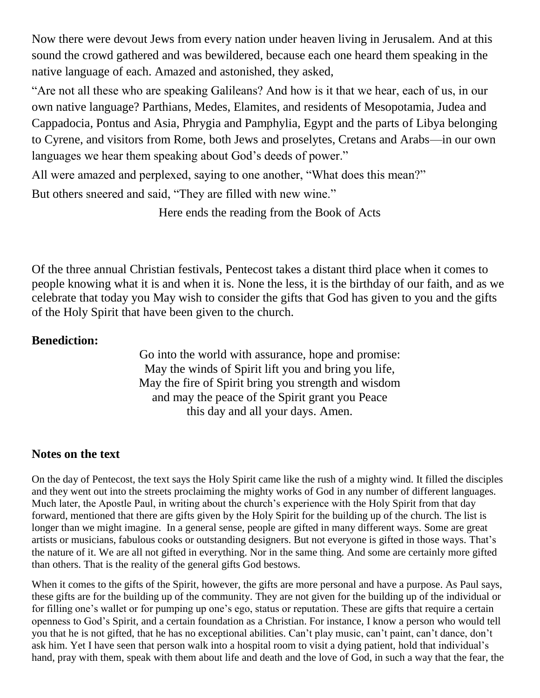Now there were devout Jews from every nation under heaven living in Jerusalem. And at this sound the crowd gathered and was bewildered, because each one heard them speaking in the native language of each. Amazed and astonished, they asked,

"Are not all these who are speaking Galileans? And how is it that we hear, each of us, in our own native language? Parthians, Medes, Elamites, and residents of Mesopotamia, Judea and Cappadocia, Pontus and Asia, Phrygia and Pamphylia, Egypt and the parts of Libya belonging to Cyrene, and visitors from Rome, both Jews and proselytes, Cretans and Arabs—in our own languages we hear them speaking about God's deeds of power."

All were amazed and perplexed, saying to one another, "What does this mean?"

But others sneered and said, "They are filled with new wine."

Here ends the reading from the Book of Acts

Of the three annual Christian festivals, Pentecost takes a distant third place when it comes to people knowing what it is and when it is. None the less, it is the birthday of our faith, and as we celebrate that today you May wish to consider the gifts that God has given to you and the gifts of the Holy Spirit that have been given to the church.

#### **Benediction:**

Go into the world with assurance, hope and promise: May the winds of Spirit lift you and bring you life, May the fire of Spirit bring you strength and wisdom and may the peace of the Spirit grant you Peace this day and all your days. Amen.

#### **Notes on the text**

On the day of Pentecost, the text says the Holy Spirit came like the rush of a mighty wind. It filled the disciples and they went out into the streets proclaiming the mighty works of God in any number of different languages. Much later, the Apostle Paul, in writing about the church's experience with the Holy Spirit from that day forward, mentioned that there are gifts given by the Holy Spirit for the building up of the church. The list is longer than we might imagine. In a general sense, people are gifted in many different ways. Some are great artists or musicians, fabulous cooks or outstanding designers. But not everyone is gifted in those ways. That's the nature of it. We are all not gifted in everything. Nor in the same thing. And some are certainly more gifted than others. That is the reality of the general gifts God bestows.

When it comes to the gifts of the Spirit, however, the gifts are more personal and have a purpose. As Paul says, these gifts are for the building up of the community. They are not given for the building up of the individual or for filling one's wallet or for pumping up one's ego, status or reputation. These are gifts that require a certain openness to God's Spirit, and a certain foundation as a Christian. For instance, I know a person who would tell you that he is not gifted, that he has no exceptional abilities. Can't play music, can't paint, can't dance, don't ask him. Yet I have seen that person walk into a hospital room to visit a dying patient, hold that individual's hand, pray with them, speak with them about life and death and the love of God, in such a way that the fear, the